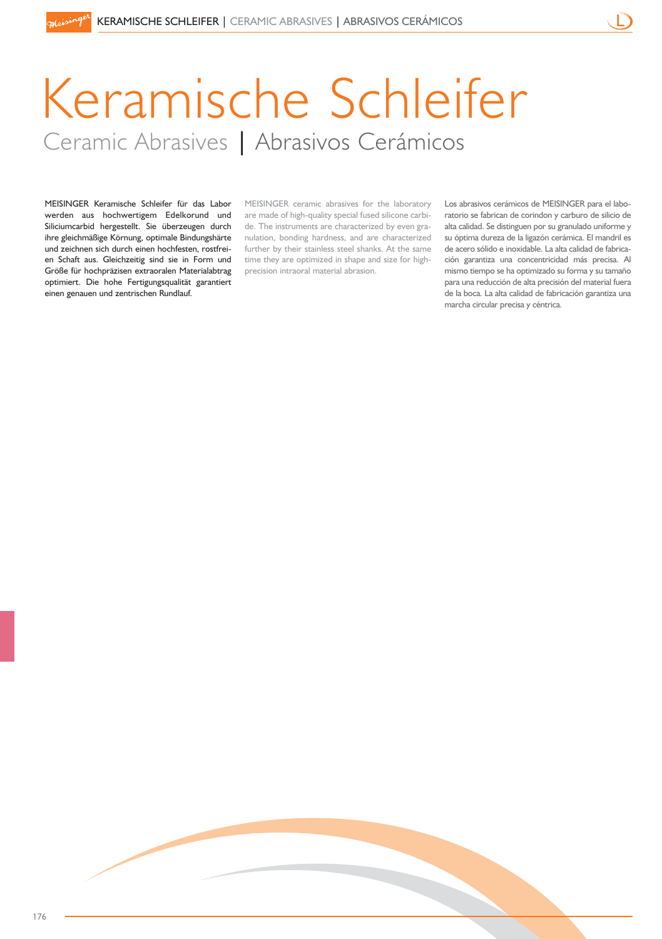# Keramische Schleifer Ceramic Abrasives | Abrasivos Cerámicos

MEISINGER Keramische Schleifer für das Labor werden aus hochwertigem Edelkorund und Siliciumcarbid hergestellt. Sie überzeugen durch ihre gleichmäßige Körnung, optimale Bindungshärte und zeichnen sich durch einen hochfesten, rostfreien Schaft aus. Gleichzeitig sind sie in Form und Größe für hochpräzisen extraoralen Materialabtrag optimiert. Die hohe Fertigungsqualität garantiert einen genauen und zentrischen Rundlauf.

MEISINGER ceramic abrasives for the laboratory are made of high-quality special fused silicone carbide. The instruments are characterized by even granulation, bonding hardness, and are characterized further by their stainless steel shanks. At the same time they are optimized in shape and size for highprecision intraoral material abrasion.

Los abrasivos cerámicos de MEISINGER para el laboratorio se fabrican de corindon y carburo de silicio de alta calidad. Se distinguen por su granulado uniforme y su óptima dureza de la ligazón cerámica. El mandril es de acero sólido e inoxidable. La alta calidad de fabricación garantiza una concentricidad más precisa. Al mismo tiempo se ha optimizado su forma y su tamaño para una reducción de alta precisión del material fuera de la boca. La alta calidad de fabricación garantiza una marcha circular precisa y céntrica.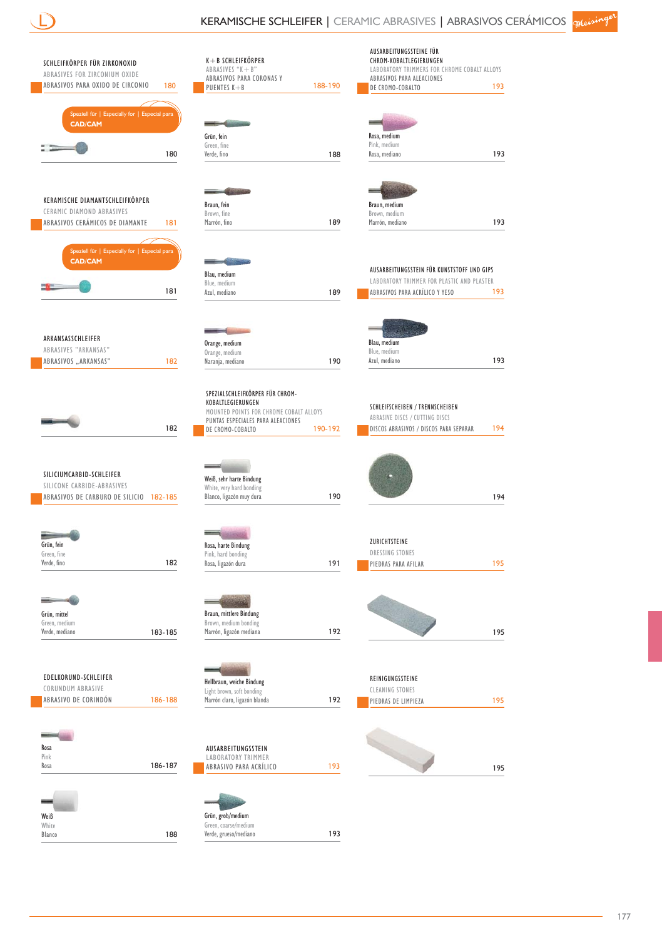$$
\overline{\bigcup}
$$

| SCHLEIFKÖRPER FÜR ZIRKONOXID<br>ABRASIVES FOR ZIRCONIUM OXIDE<br>ABRASIVOS PARA OXIDO DE CIRCONIO<br>180 | $K + B$ SCHLEIFKÖRPER<br>ABRASIVES "K+B"<br>ABRASIVOS PARA CORONAS Y<br>188-190<br>PUENTES K+B | AUSARBEITUNGSSTEINE FÜR<br>CHROM-KOBALTLEGIERUNGEN<br>LABORATORY TRIMMERS FOR CHROME COBALT ALLOYS<br>ABRASIVOS PARA ALEACIONES<br>193<br>DE CROMO-COBALTO |
|----------------------------------------------------------------------------------------------------------|------------------------------------------------------------------------------------------------|------------------------------------------------------------------------------------------------------------------------------------------------------------|
|                                                                                                          |                                                                                                |                                                                                                                                                            |
| Speziell für   Especially for   Especial para<br><b>CAD/CAM</b>                                          |                                                                                                |                                                                                                                                                            |
|                                                                                                          | Grün, fein                                                                                     | Rosa, medium                                                                                                                                               |
| 180                                                                                                      | Green, fine<br>Verde, fino<br>188                                                              | Pink, medium<br>Rosa, mediano<br>193                                                                                                                       |
|                                                                                                          |                                                                                                |                                                                                                                                                            |
|                                                                                                          |                                                                                                |                                                                                                                                                            |
| KERAMISCHE DIAMANTSCHLEIFKÖRPER<br>CERAMIC DIAMOND ABRASIVES                                             | Braun, fein<br>Brown, fine                                                                     | Braun, medium<br>Brown, medium                                                                                                                             |
| ABRASIVOS CERÁMICOS DE DIAMANTE<br>181                                                                   | Marrón, fino<br>189                                                                            | Marrón, mediano<br>193                                                                                                                                     |
|                                                                                                          |                                                                                                |                                                                                                                                                            |
| Speziell für   Especially for   Especial para<br><b>CAD/CAM</b>                                          |                                                                                                |                                                                                                                                                            |
|                                                                                                          | Blau, medium                                                                                   | AUSARBEITUNGSSTEIN FÜR KUNSTSTOFF UND GIPS                                                                                                                 |
| 181                                                                                                      | Blue, medium<br>Azul, mediano<br>189                                                           | LABORATORY TRIMMER FOR PLASTIC AND PLASTER<br>ABRASIVOS PARA ACRÍLICO Y YESO<br>193                                                                        |
|                                                                                                          |                                                                                                |                                                                                                                                                            |
|                                                                                                          |                                                                                                |                                                                                                                                                            |
| ARKANSASSCHLEIFER                                                                                        | Orange, medium                                                                                 | Blau, medium                                                                                                                                               |
| ABRASIVES "ARKANSAS"                                                                                     | Orange, medium                                                                                 | Blue, medium                                                                                                                                               |
| ABRASIVOS "ARKANSAS"<br>182                                                                              | 190<br>Naranja, mediano                                                                        | Azul, mediano<br>193                                                                                                                                       |
|                                                                                                          |                                                                                                |                                                                                                                                                            |
|                                                                                                          | SPEZIALSCHLEIFKÖRPER FÜR CHROM-<br>KOBALTLEGIERUNGEN                                           |                                                                                                                                                            |
|                                                                                                          | MOUNTED POINTS FOR CHROME COBALT ALLOYS<br>PUNTAS ESPECIALES PARA ALEACIONES                   | SCHLEIFSCHEIBEN / TRENNSCHEIBEN<br>ABRASIVE DISCS / CUTTING DISCS                                                                                          |
| 182                                                                                                      | 190-192<br>DE CROMO-COBALTO                                                                    | 194<br>DISCOS ABRASIVOS / DISCOS PARA SEPARAR                                                                                                              |
|                                                                                                          |                                                                                                |                                                                                                                                                            |
|                                                                                                          |                                                                                                |                                                                                                                                                            |
| SILICIUMCARBID-SCHLEIFER<br>SILICONE CARBIDE-ABRASIVES                                                   | Weiß, sehr harte Bindung                                                                       |                                                                                                                                                            |
| ABRASIVOS DE CARBURO DE SILICIO 182-185                                                                  | White, very hard bonding<br>190<br>Blanco, ligazòn muy dura                                    | 194                                                                                                                                                        |
|                                                                                                          |                                                                                                |                                                                                                                                                            |
|                                                                                                          |                                                                                                |                                                                                                                                                            |
| Grün, fein                                                                                               | Rosa, harte Bindung                                                                            | ZURICHTSTEINE                                                                                                                                              |
| Green, fine<br>Verde, fino<br>182                                                                        | Pink, hard bonding<br>Rosa, ligazón dura<br>191                                                | DRESSING STONES<br>195<br>PIEDRAS PARA AFILAR                                                                                                              |
|                                                                                                          |                                                                                                |                                                                                                                                                            |
|                                                                                                          |                                                                                                |                                                                                                                                                            |
| Grün, mittel                                                                                             | Braun, mittlere Bindung                                                                        |                                                                                                                                                            |
| Green, medium                                                                                            | Brown, medium bonding                                                                          |                                                                                                                                                            |
| Verde, mediano<br>183-185                                                                                | Marrón, ligazón mediana<br>192                                                                 | 195                                                                                                                                                        |
|                                                                                                          |                                                                                                |                                                                                                                                                            |
| EDELKORUND-SCHLEIFER                                                                                     |                                                                                                | REINIGUNGSSTEINE                                                                                                                                           |
| CORUNDUM ABRASIVE                                                                                        | Hellbraun, weiche Bindung<br>Light brown, soft bonding                                         | <b>CLEANING STONES</b>                                                                                                                                     |
| ABRASIVO DE CORINDÓN<br>186-188                                                                          | Marrón claro, ligazón blanda<br>192                                                            | 195<br>PIEDRAS DE LIMPIEZA                                                                                                                                 |
|                                                                                                          |                                                                                                |                                                                                                                                                            |
|                                                                                                          |                                                                                                |                                                                                                                                                            |
| Rosa<br>Pink                                                                                             | AUSARBEITUNGSSTEIN<br><b>LABORATORY TRIMMER</b>                                                |                                                                                                                                                            |
| 186-187<br>Rosa                                                                                          | 193<br>ABRASIVO PARA ACRÍLICO                                                                  | 195                                                                                                                                                        |
|                                                                                                          |                                                                                                |                                                                                                                                                            |
|                                                                                                          |                                                                                                |                                                                                                                                                            |
| Weiß                                                                                                     | Grün, grob/medium                                                                              |                                                                                                                                                            |
| White<br>Blanco<br>188                                                                                   | Green, coarse/medium<br>Verde, grueso/mediano<br>193                                           |                                                                                                                                                            |
|                                                                                                          |                                                                                                |                                                                                                                                                            |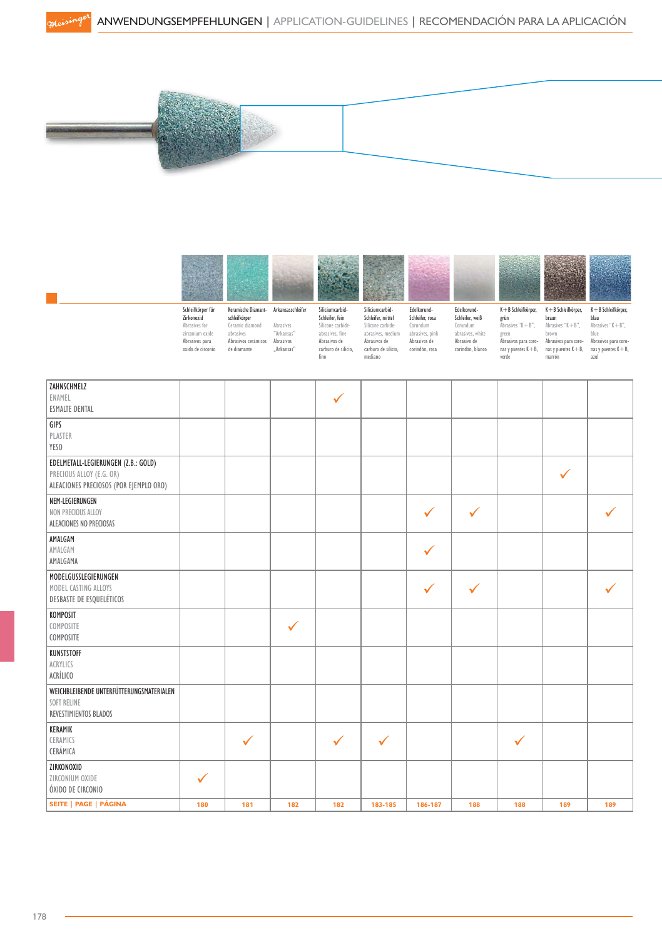



| ZAHNSCHMELZ                              |     |              |              |              |              |              |              |              |              |     |
|------------------------------------------|-----|--------------|--------------|--------------|--------------|--------------|--------------|--------------|--------------|-----|
| ENAMEL                                   |     |              |              | $\checkmark$ |              |              |              |              |              |     |
| <b>ESMALTE DENTAL</b>                    |     |              |              |              |              |              |              |              |              |     |
| GIPS                                     |     |              |              |              |              |              |              |              |              |     |
| PLASTER                                  |     |              |              |              |              |              |              |              |              |     |
| YESO                                     |     |              |              |              |              |              |              |              |              |     |
| EDELMETALL-LEGIERUNGEN (Z.B.: GOLD)      |     |              |              |              |              |              |              |              |              |     |
| PRECIOUS ALLOY (E.G. OR)                 |     |              |              |              |              |              |              |              | $\checkmark$ |     |
| ALEACIONES PRECIOSOS (POR EJEMPLO ORO)   |     |              |              |              |              |              |              |              |              |     |
| NEM-LEGIERUNGEN                          |     |              |              |              |              |              |              |              |              |     |
|                                          |     |              |              |              |              |              |              |              |              |     |
| NON PRECIOUS ALLOY                       |     |              |              |              |              | $\checkmark$ | $\checkmark$ |              |              |     |
| ALEACIONES NO PRECIOSAS                  |     |              |              |              |              |              |              |              |              |     |
| AMALGAM                                  |     |              |              |              |              |              |              |              |              |     |
| AMALGAM                                  |     |              |              |              |              | $\checkmark$ |              |              |              |     |
| AMALGAMA                                 |     |              |              |              |              |              |              |              |              |     |
| MODELGUSSLEGIERUNGEN                     |     |              |              |              |              |              |              |              |              |     |
| MODEL CASTING ALLOYS                     |     |              |              |              |              | $\checkmark$ | $\checkmark$ |              |              |     |
| DESBASTE DE ESQUELÉTICOS                 |     |              |              |              |              |              |              |              |              |     |
| KOMPOSIT                                 |     |              |              |              |              |              |              |              |              |     |
| COMPOSITE                                |     |              | $\checkmark$ |              |              |              |              |              |              |     |
| COMPOSITE                                |     |              |              |              |              |              |              |              |              |     |
| KUNSTSTOFF                               |     |              |              |              |              |              |              |              |              |     |
| ACRYLICS                                 |     |              |              |              |              |              |              |              |              |     |
| ACRÍLICO                                 |     |              |              |              |              |              |              |              |              |     |
| WEICHBLEIBENDE UNTERFÜTTERUNGSMATERIALEN |     |              |              |              |              |              |              |              |              |     |
| SOFT RELINE                              |     |              |              |              |              |              |              |              |              |     |
| REVESTIMIENTOS BLADOS                    |     |              |              |              |              |              |              |              |              |     |
| KERAMIK                                  |     |              |              |              |              |              |              |              |              |     |
| CERAMICS                                 |     | $\checkmark$ |              | $\checkmark$ | $\checkmark$ |              |              | $\checkmark$ |              |     |
| CERÁMICA                                 |     |              |              |              |              |              |              |              |              |     |
|                                          |     |              |              |              |              |              |              |              |              |     |
| ZIRKONOXID                               |     |              |              |              |              |              |              |              |              |     |
| ZIRCONIUM OXIDE                          | ✓   |              |              |              |              |              |              |              |              |     |
| ÓXIDO DE CIRCONIO                        |     |              |              |              |              |              |              |              |              |     |
| SEITE   PAGE   PÁGINA                    | 180 | 181          | 182          | 182          | 183-185      | 186-187      | 188          | 188          | 189          | 189 |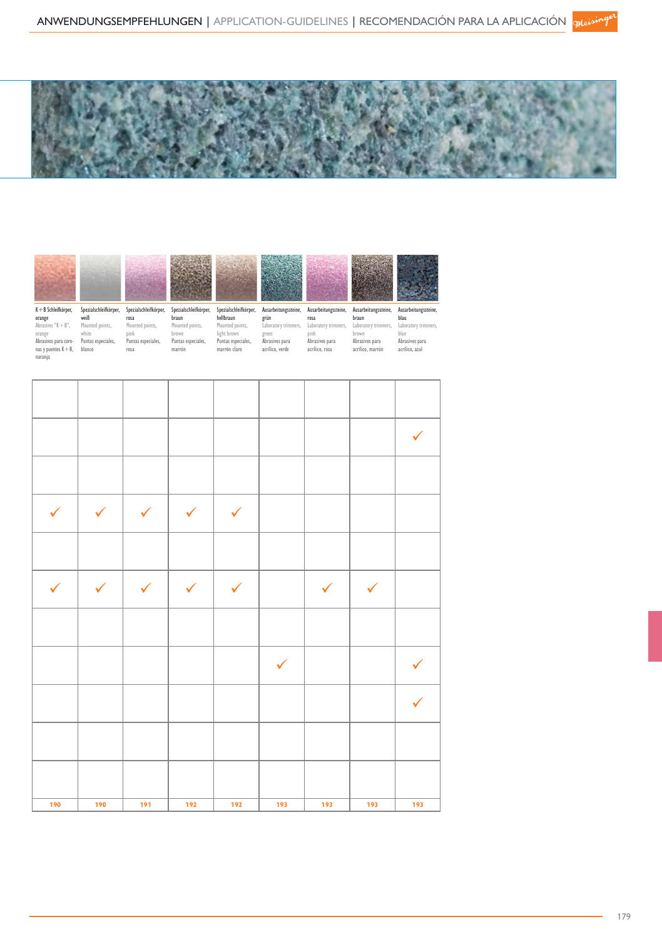



|              |              |              |              |              |              |              |              | $\checkmark$ |
|--------------|--------------|--------------|--------------|--------------|--------------|--------------|--------------|--------------|
|              |              |              |              |              |              |              |              |              |
| $\checkmark$ | $\checkmark$ | $\checkmark$ | $\checkmark$ | $\checkmark$ |              |              |              |              |
|              |              |              |              |              |              |              |              |              |
| $\checkmark$ | $\checkmark$ | $\checkmark$ | $\checkmark$ | $\checkmark$ |              | $\checkmark$ | $\checkmark$ |              |
|              |              |              |              |              |              |              |              |              |
|              |              |              |              |              | $\checkmark$ |              |              |              |
|              |              |              |              |              |              |              |              | $\checkmark$ |
|              |              |              |              |              |              |              |              |              |
|              |              |              |              |              |              |              |              |              |
| 190          | 190          | 191          | 192          | 192          | 193          | 193          | 193          | 193          |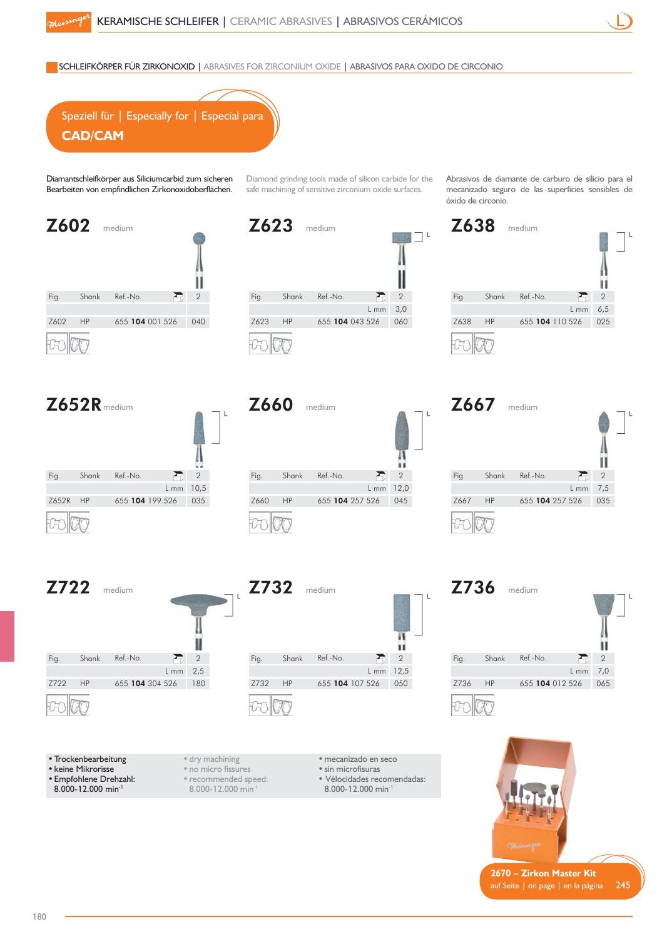SCHLEIFKÖRPER FÜR ZIRKONOXID | ABRASIVES FOR ZIRCONIUM OXIDE | ABRASIVOS PARA OXIDO DE CIRCONIO



Diamantschleifkörper aus Siliciumcarbid zum sicheren Bearbeiten von empfindlichen Zirkonoxidoberflächen.

Z602 medium Fig. Shank Ref.-No.  $\overline{ }$ 2 HP Z602 HP 655 104 001 526 040 50

Z623 medium Fig. Shank Ref.-No.  $\blacksquare$ 2 3,0 L mm HP Z623 HP 655 104 043 526 060

Diamond grinding tools made of silicon carbide for the safe machining of sensitive zirconium oxide surfaces.

 $\Box$ 

Abrasivos de diamante de carburo de silicio para el mecanizado seguro de las superficies sensibles de óxido de circonio.



## Z652R medium





Z732 medium

Fig. Shank Ref.-No.

HP





• Trockenbearbeitung • keine Mikrorisse

• Empfohlene Drehzahl:

8.000-12.000 min-1

• dry machining • no micro fissures • recommended speed: 8.000-12.000 min-1

• mecanizado en seco

Z732 HP 655 104 107 526 050

• sin microfisuras

2 12,5 L mm

 $\sum_{i=1}^{n}$ 

и

п

- Vélocidades recomendadas:
- 8.000-12.000 min-





**2670 – Zirkon Master Kit**  auf Seite | on page | en la página  $245$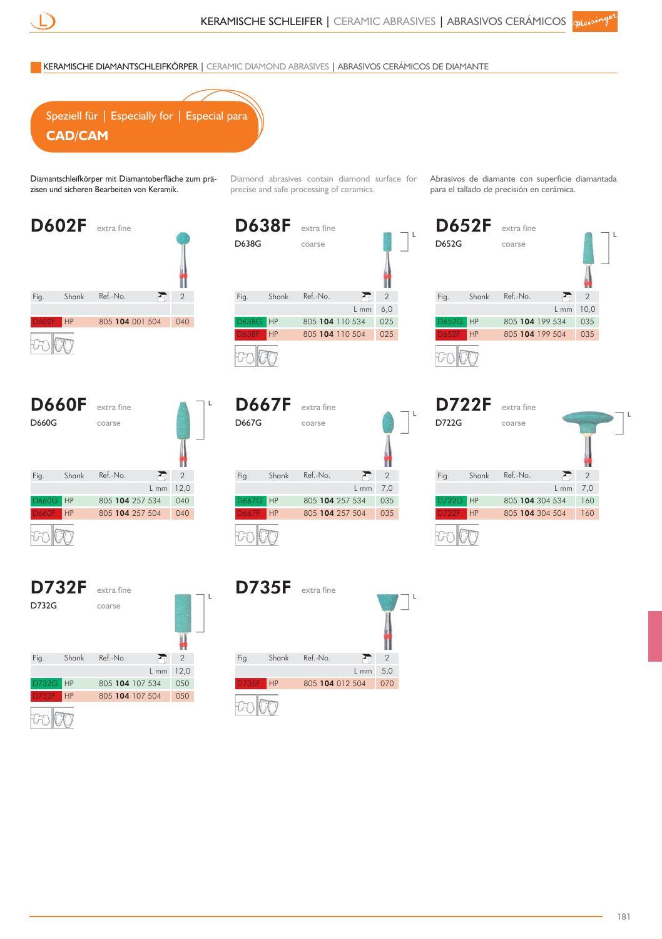Diamond abrasives contain diamond surface for Abrasivos de diamante con superficie diamantada

 $\mathsf{L}$ 

KERAMISCHE DIAMANTSCHLEIFKÖRPER | CERAMIC DIAMOND ABRASIVES | ABRASIVOS CERÁMICOS DE DIAMANTE



Diamantschleifkörper mit Diamantoberfläche zum präzisen und sicheren Bearbeiten von Keramik.

D602F extra fine Fig. Shank Ref.-No. 2 R HP D602F HP 805 104 001 504 040

| <b>D660F</b> |           | extra fine      |                |                |  |
|--------------|-----------|-----------------|----------------|----------------|--|
| <b>D660G</b> |           | coarse          |                |                |  |
|              |           |                 |                |                |  |
| Fig.         | Shank     | Ref.-No.        | $\mathbf{z}_0$ | $\overline{2}$ |  |
|              |           |                 | $L_{mm}$       | 12,0           |  |
| <b>D660G</b> | <b>HP</b> | 805 104 257 534 |                | 040            |  |
| <b>D660F</b> | HP        | 805 104 257 504 |                | 040            |  |
|              |           |                 |                |                |  |

|              | <b>D732F</b> | extra fine      |        |                |  |
|--------------|--------------|-----------------|--------|----------------|--|
| D732G        |              | coarse          |        |                |  |
|              |              |                 |        |                |  |
| Fig.         | Shank        | Ref.-No.        |        | $\overline{2}$ |  |
|              |              |                 | $L$ mm | 12,0           |  |
| <b>D732G</b> | <b>HP</b>    | 805 104 107 534 |        | 050            |  |
| <b>D732F</b> | <b>HP</b>    | 805 104 107 504 |        | 050            |  |
|              |              |                 |        |                |  |

| <b>D638F</b> |       | extra fine      |      |               |
|--------------|-------|-----------------|------|---------------|
| D638G        |       | coarse          |      |               |
|              |       |                 |      |               |
| Fig.         | Shank | Ref.-No.        |      | $\mathcal{P}$ |
|              |       |                 | L mm | 6,0           |
| D638G        | HP    | 805 104 110 534 |      | 025           |
| <b>D638F</b> | HP    | 805 104 110 504 |      | 025           |
|              |       |                 |      |               |

precise and safe processing of ceramics.

D667F extra fine D667G coarse Fig. Shank Ref.-No. 君 2 L mm 7,0 HP 805 104 257 534 035 D667G HP 805 104 257 504 035



para el tallado de precisión en cerámica.

|              | <b>D722F</b> | extra fine      |        |                |  |
|--------------|--------------|-----------------|--------|----------------|--|
| D722G        |              | coarse          |        |                |  |
|              |              |                 |        |                |  |
| Fig.         | Shank        | Ref.-No.        |        | $\overline{2}$ |  |
|              |              |                 | $L$ mm | 7,0            |  |
| <b>D722G</b> | HP           | 805 104 304 534 |        | 160            |  |
| <b>D722F</b> | HP           | 805 104 304 504 |        | 160            |  |
|              |              |                 |        |                |  |

D735F extra fine Fig. Shank Ref.-No.  $\overline{E}$ 2 5,0 L mm HPD735F HP 805 104 012 504 070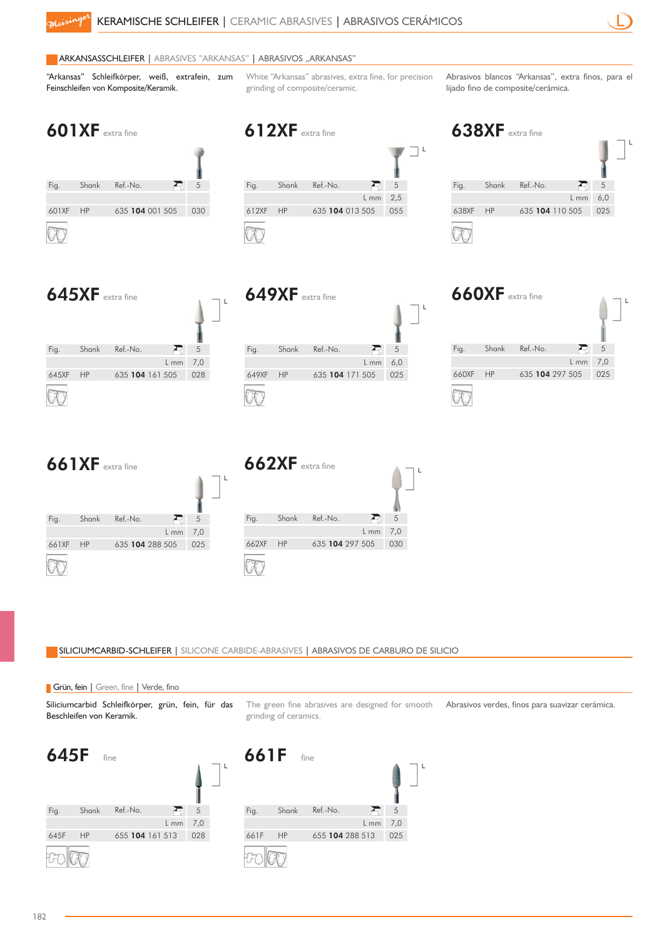612XF extra fine



#### **ARKANSASSCHLEIFER | ABRASIVES "ARKANSAS" | ABRASIVOS "ARKANSAS"**

"Arkansas" Schleifkörper, weiß, extrafein, zum Feinschleifen von Komposite/Keramik.

White "Arkansas" abrasives, extra fine, for precision grinding of composite/ceramic.

Abrasivos blancos "Arkansas", extra finos, para el lijado fino de composite/cerámica.



| Fig.  | Shank | Ref.-No.        |      | 5   |  |
|-------|-------|-----------------|------|-----|--|
|       |       |                 | L mm | 2,5 |  |
| 612XF | HP    | 635 104 013 505 |      | 055 |  |
|       |       |                 |      |     |  |





|       | $649XF$ extra fine |                 |      |     |  |
|-------|--------------------|-----------------|------|-----|--|
| Fig.  | Shank              | Ref.-No.        | ↩    | 5   |  |
|       |                    |                 | L mm | 6,0 |  |
| 649XF | <b>HP</b>          | 635 104 171 505 |      | 025 |  |
|       |                    |                 |      |     |  |

|       | $660XF$ extra fine |                 |      |     |  |
|-------|--------------------|-----------------|------|-----|--|
| Fig.  | Shank              | Ref.-No.        |      | 5   |  |
|       |                    |                 | L mm | 7,0 |  |
| 660XF | HP                 | 635 104 297 505 |      | 025 |  |
|       |                    |                 |      |     |  |





SILICIUMCARBID-SCHLEIFER | SILICONE CARBIDE-ABRASIVES | ABRASIVOS DE CARBURO DE SILICIO



The green fine abrasives are designed for smooth Abrasivos verdes, finos para suavizar cerámica. grinding of ceramics.

> 5 7,0

Ð

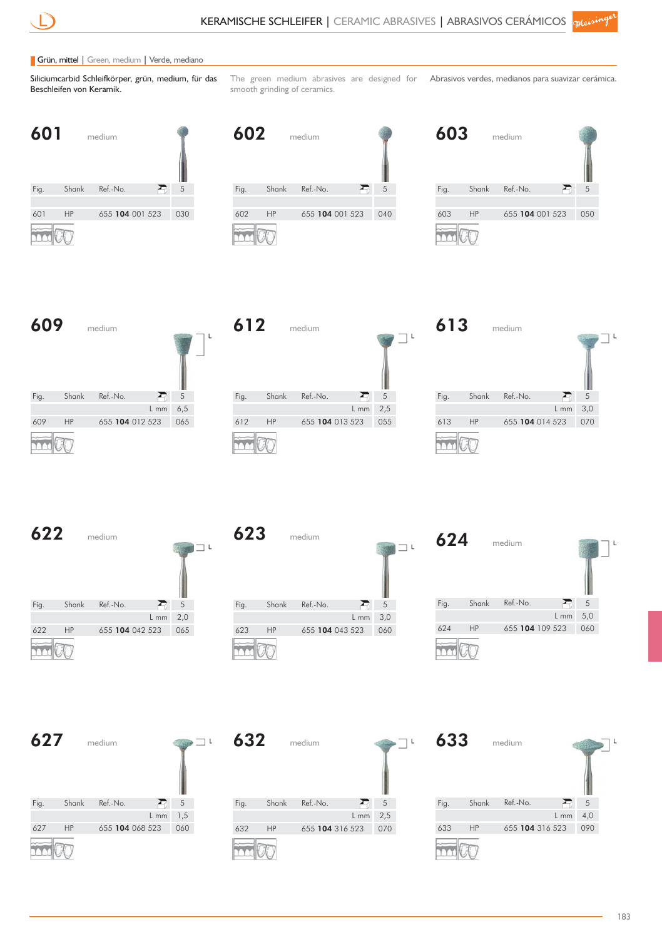#### Grün, mittel | Green, medium | Verde, mediano

Siliciumcarbid Schleifkörper, grün, medium, für das Beschleifen von Keramik.

The green medium abrasives are designed for Abrasivos verdes, medianos para suavizar cerámica. smooth grinding of ceramics.

| 601  |           | medium          |     |  |
|------|-----------|-----------------|-----|--|
| Fig. | Shank     | Ref.-No.        | 5   |  |
|      |           |                 |     |  |
| 601  | <b>HP</b> | 655 104 001 523 | 030 |  |
|      |           |                 |     |  |

| 602  |           | medium          |     |
|------|-----------|-----------------|-----|
| Fig. | Shank     | Ref.-No.        | 5   |
|      |           |                 |     |
| 602  | <b>HP</b> | 655 104 001 523 | 040 |
|      |           |                 |     |

| 603  |       | medium          |     |
|------|-------|-----------------|-----|
| Fig. | Shank | Ref.-No.        | 5   |
|      |       |                 |     |
| 603  | HP    | 655 104 001 523 | 050 |
|      |       |                 |     |







**622** medium

|      |           | .               |      |     |  |
|------|-----------|-----------------|------|-----|--|
| Fig. | Shank     | Ref.-No.        |      | 5   |  |
|      |           |                 | L mm | 2,0 |  |
| 622  | <b>HP</b> | 655 104 042 523 |      | 065 |  |
|      |           |                 |      |     |  |

| 623  |       | medium          |        |     |
|------|-------|-----------------|--------|-----|
| Fig. | Shank | Ref.-No.        |        | 5   |
|      |       |                 | $L$ mm | 3,0 |
| 623  | HP    | 655 104 043 523 |        | 060 |
|      |       |                 |        |     |



| 627  |       | medium          |      |     |  |
|------|-------|-----------------|------|-----|--|
| Fig. | Shank | Ref.-No.        |      | 5   |  |
|      |       |                 | L mm | 1,5 |  |
| 627  | HP    | 655 104 068 523 |      | 060 |  |
|      |       |                 |      |     |  |



| 633  |           | medium          |      |     |  |
|------|-----------|-----------------|------|-----|--|
| Fig. | Shank     | Ref.-No.        |      | 5   |  |
|      |           |                 | L mm | 4,0 |  |
| 633  | <b>HP</b> | 655 104 316 523 |      | 090 |  |
|      |           |                 |      |     |  |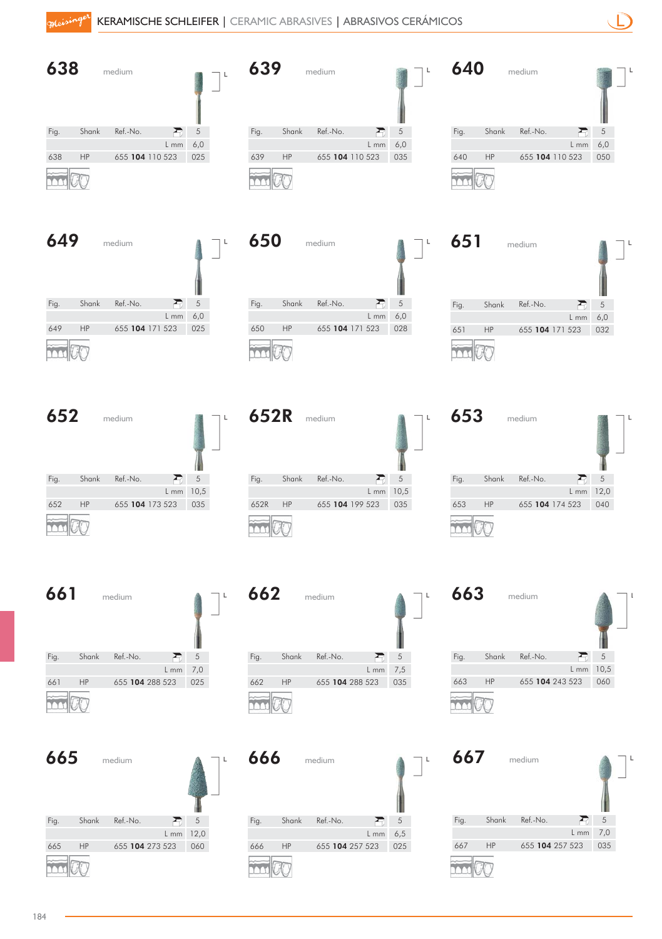| 638                               | medium                                            | $\mathsf L$                 | 639                                    | medium                                     | l                            | 640                                   | medium                                     |                            |
|-----------------------------------|---------------------------------------------------|-----------------------------|----------------------------------------|--------------------------------------------|------------------------------|---------------------------------------|--------------------------------------------|----------------------------|
| Shank<br>Fig.<br>638<br>HP        | Ref.-No.<br>Ð<br>L mm<br>655 104 110 523          | $\mathfrak s$<br>6,0<br>025 | Fig.<br>Shank<br>$\mathsf{HP}$<br>639  | Ref.-No.<br>Ð<br>L mm<br>655 104 110 523   | $\mathfrak s$<br>6,0<br>035  | Fig.<br>Shank<br>640<br>HP            | Ref.-No.<br>Ð<br>L mm<br>655 104 110 523   | $\sqrt{5}$<br>6,0<br>050   |
| 649                               | medium                                            | L                           | 650                                    | medium                                     | L                            | 651                                   | medium                                     |                            |
| Shank<br>Fig.<br><b>HP</b><br>649 | Ref.-No.<br>Æ<br>L mm<br>655 104 171 523          | 5<br>6,0<br>025             | Fig.<br>Shank<br>$\mathsf{HP}$<br>650  | Ref.-No.<br>Ð<br>$L$ mm<br>655 104 171 523 | $\mathfrak s$<br>6,0<br>028  | Fig.<br>Shank<br>HP<br>651            | Ref.-No.<br>Ð<br>$L$ mm<br>655 104 171 523 | 5<br>6,0<br>032            |
| 652                               | medium                                            | L                           | 652R                                   | medium                                     | L                            | 653                                   | medium                                     |                            |
| Shank<br>Fig.<br>652<br>HP        | Ref.-No.<br>Ð<br>$L$ mm $10,5$<br>655 104 173 523 | $\sqrt{5}$<br>035           | Fig.<br>Shank<br>$\mathsf{HP}$<br>652R | Ref.-No.<br>Ð<br>L mm<br>655 104 199 523   | $\mathfrak s$<br>10,5<br>035 | Fig.<br>Shank<br>653<br>HP            | Ref.-No.<br>Ð<br>$L$ mm<br>655 104 174 523 | $\,$ 5 $\,$<br>12,0<br>040 |
| 661                               | medium                                            | L                           | 662                                    | medium                                     | L                            | 663                                   | medium                                     |                            |
| Fig.<br>Shank<br>661<br>HP        | Ð<br>Ref.-No.<br>$L$ mm<br>655 104 288 523        | $\sqrt{5}$<br>7,0<br>025    | Shank<br>Fig.<br>$\mathsf{HP}$<br>662  | Ref.-No.<br>Ð<br>$L$ mm<br>655 104 288 523 | $\,$ 5 $\,$<br>7,5<br>035    | Fig.<br>Shank<br>$\mathsf{HP}$<br>663 | Ref.-No.<br>Ð<br>$L$ mm<br>655 104 243 523 | $\sqrt{5}$<br>10,5<br>060  |
| 665                               | medium                                            |                             | 666                                    | medium                                     | L                            | 667                                   | medium                                     |                            |
| Shank<br>Fig.<br>HP<br>665        | Ref.-No.<br>Ð<br>L mm 12,0<br>655 104 273 523     | $\sqrt{5}$<br>060           | Fig.<br>Shank<br>$\mathsf{HP}$<br>666  | Ref.-No.<br>ᅎ<br>$L$ mm<br>655 104 257 523 | $\,$ 5 $\,$<br>6,5<br>025    | Fig.<br>Shank<br>667<br>HP            | Ref.-No.<br>R<br>L mm<br>655 104 257 523   | $\sqrt{5}$<br>7,0<br>035   |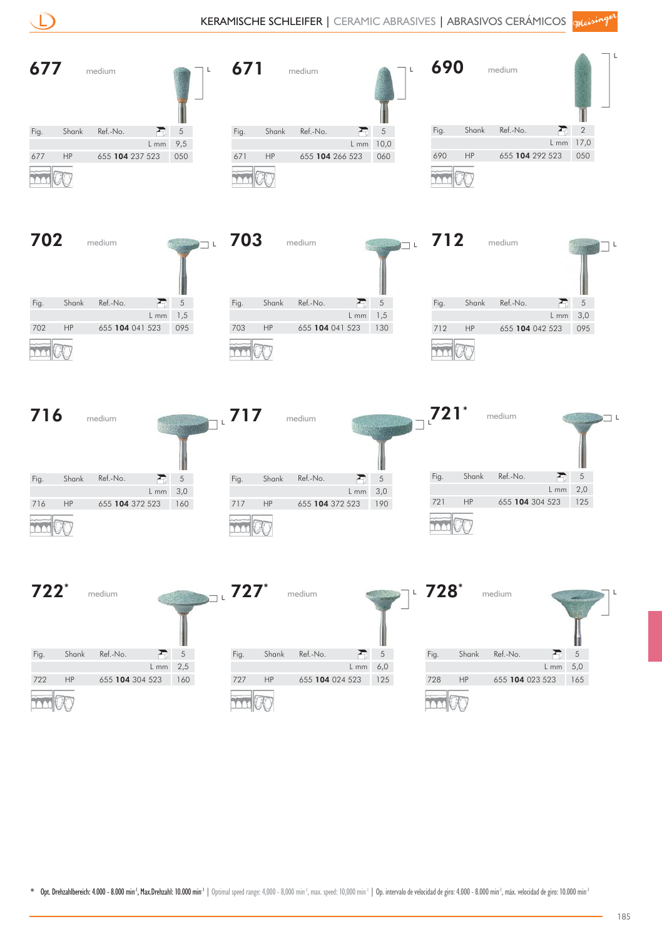|        |               |                                                 |               |                      |       |                 |                   |                                                                       |                    |               | KERAMISCHE SCHLEIFER   CERAMIC ABRASIVES   ABRASIVOS CERÁMICOS queisingel |             |                   |  |
|--------|---------------|-------------------------------------------------|---------------|----------------------|-------|-----------------|-------------------|-----------------------------------------------------------------------|--------------------|---------------|---------------------------------------------------------------------------|-------------|-------------------|--|
| 677    |               | medium                                          | L             | 671                  |       | medium          |                   | L                                                                     | 690                |               | medium                                                                    |             |                   |  |
| Fig.   | Shank         | Ref.-No.<br>$\sqrt{5}$<br>Æ                     |               | Fig.                 | Shank | Ref.-No.        |                   | $\sqrt{5}$                                                            | Fig.               | Shank         | Ref.-No.                                                                  | L mm        | 2<br>17,0         |  |
| 677    | HP            | 9,5<br>$L$ mm<br>655 104 237 523<br>050         |               | $\mathsf{HP}$<br>671 |       | 655 104 266 523 | L mm              | 10,0<br>060                                                           | 690                | HP            | 655 104 292 523                                                           |             | 050               |  |
|        |               |                                                 |               |                      |       |                 |                   |                                                                       |                    |               |                                                                           |             |                   |  |
| 702    |               | medium                                          | $\Box$ L      | 703                  |       | medium          |                   | $\frac{1}{2}$ $\frac{1}{2}$ $\frac{1}{2}$ $\frac{1}{2}$ $\frac{1}{2}$ | 712                |               | medium                                                                    |             |                   |  |
| Fig.   | Shank         | Ref.-No.<br>$\sqrt{5}$<br>盈<br>1,5<br>$L$ mm    |               | Fig.                 | Shank | Ref.-No.        | 盈<br>${\sf L}$ mm | $\,$ 5 $\,$<br>1,5                                                    | Fig.               | Shank         | Ref.-No.                                                                  | R<br>$L$ mm | 5<br>3,0          |  |
| 702    | $\mathsf{HP}$ | 655 104 041 523<br>095                          |               | $\mathsf{HP}$<br>703 |       | 655 104 041 523 |                   | 130                                                                   | 712                | $\mathsf{HP}$ | 655 104 042 523                                                           |             | 095               |  |
| 716    |               | medium                                          |               | 717                  |       | medium          |                   |                                                                       | $721$ <sup>*</sup> |               | medium                                                                    |             |                   |  |
| Fig.   | Shank         | Ref.-No.<br>$\mathfrak s$<br>Ð<br>3,0<br>$L$ mm |               | Fig.                 | Shank | Ref.-No.        | Ð<br>L mm         | $\mathfrak s$<br>$3,0$                                                | Fig.               | Shank         | Ref.-No.                                                                  | Ð<br>L mm   | $\sqrt{5}$<br>2,0 |  |
| 716    | $\mathsf{HP}$ | 655 104 372 523<br>160                          |               | $\mathsf{HP}$<br>717 |       | 655 104 372 523 |                   | 190                                                                   | 721                | $\mathsf{HP}$ | 655 104 304 523                                                           |             | 125               |  |
| $722*$ |               | medium                                          |               | $\overline{z}$ 727*  |       | medium          |                   |                                                                       | $728^*$            |               | medium                                                                    |             |                   |  |
| Fig.   | Shank         | Ref.-No.<br>Ð                                   | $\mathfrak s$ | Fig.                 | Shank | Ref.-No.        | Ð                 | $\sqrt{5}$                                                            | Fig.               | Shank         | Ref.-No.                                                                  | Ð           | $\sqrt{5}$        |  |
| 722    | $\mathsf{HP}$ | $L$ mm<br>655 104 304 523<br>160                | 2,5           | HP<br>727            |       | 655 104 024 523 | L mm              | 6,0<br>125                                                            | 728                | $\mathsf{HP}$ | 655 104 023 523                                                           | $L$ mm      | 5,0<br>165        |  |
|        |               |                                                 |               |                      |       |                 |                   |                                                                       |                    |               |                                                                           |             |                   |  |

 $\overline{\phantom{0}}$ 

**COL** 

 $\overline{X}$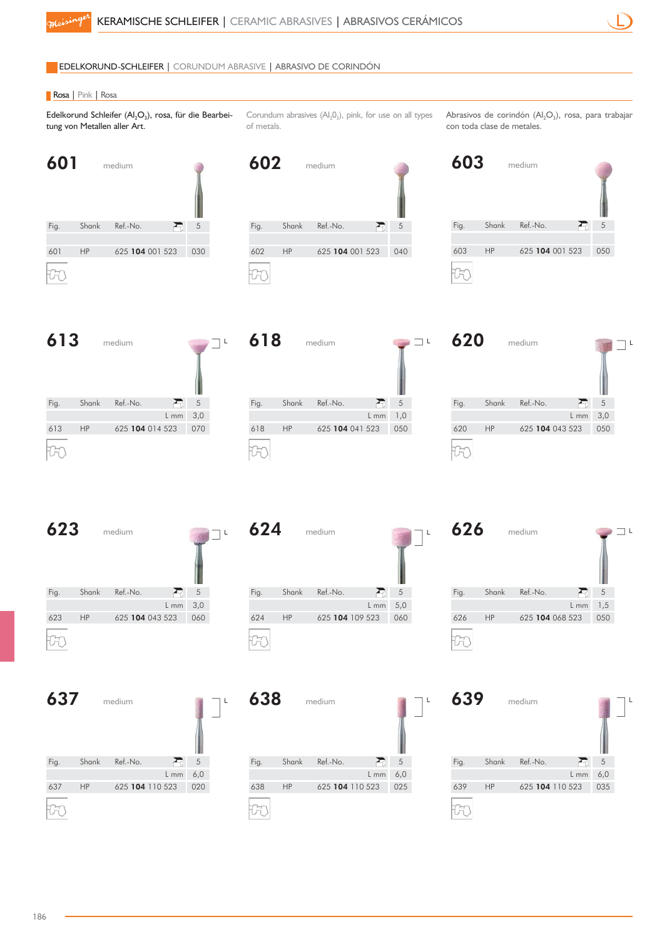#### EDELKORUND-SCHLEIFER | CORUNDUM ABRASIVE | ABRASIVO DE CORINDÓN

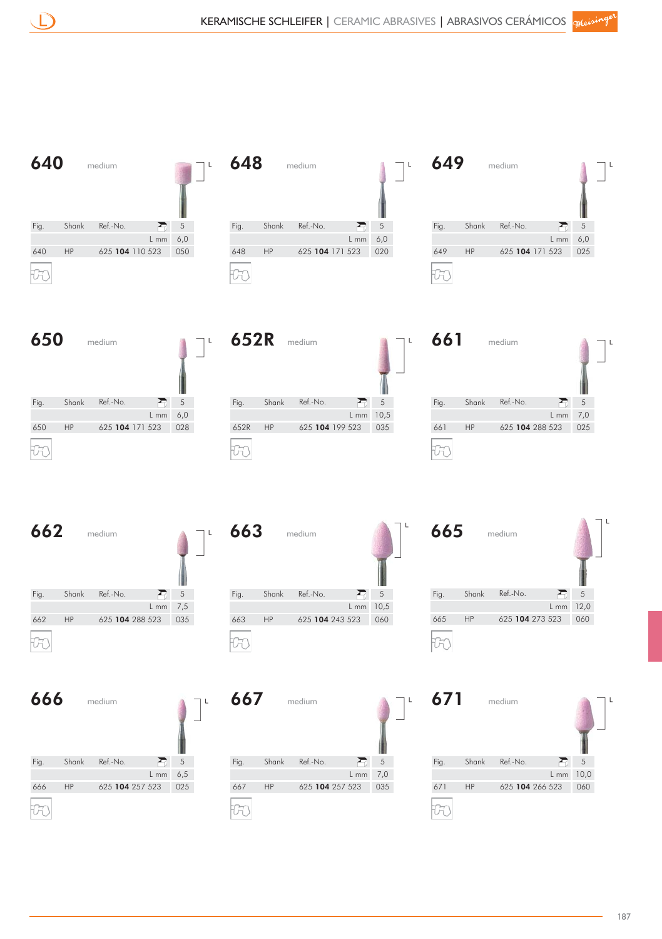

| 640<br>L<br>medium                                                                                                          | 648<br>L<br>medium                                                                                              | 649<br>medium                                                                                                            |
|-----------------------------------------------------------------------------------------------------------------------------|-----------------------------------------------------------------------------------------------------------------|--------------------------------------------------------------------------------------------------------------------------|
| 5<br>Ref.-No.<br>Fig.<br>Shank<br>R<br>$6,0$<br>$L$ mm<br>640<br>625 104 110 523<br>HP<br>050                               | Ref.-No.<br>$\sqrt{5}$<br>Fig.<br>Shank<br>Ð<br>6,0<br>L mm<br>625 104 171 523<br>648<br>HP<br>020<br>H         | Ref.-No.<br>$\sqrt{5}$<br>Fig.<br>Shank<br>Ð<br>$6,0$<br>$L$ mm<br>$\mathsf{HP}$<br>625 104 171 523<br>025<br>649        |
| 650<br>L<br>medium                                                                                                          | 652R<br>L<br>medium                                                                                             | 661<br>medium                                                                                                            |
| $\,$ 5 $\,$<br>君<br>Fig.<br>Shank<br>Ref.-No.<br>$6,0$<br>$L$ mm<br>650<br>HP<br>625 104 171 523<br>028                     | $\,$ 5 $\,$<br>Shank<br>Fig.<br>Ref.-No.<br>Ð<br>$L$ mm $10,5$<br>625 104 199 523<br>652R<br>HP<br>035          | $\overline{5}$<br>Fig.<br>Shank<br>Ref.-No.<br>Ð<br>$7,0$<br>$L$ mm<br>625 104 288 523<br>661<br>HP<br>025               |
|                                                                                                                             |                                                                                                                 |                                                                                                                          |
| 662<br>medium                                                                                                               | 663<br>medium                                                                                                   | 665<br>medium                                                                                                            |
| 丟<br>Ref.-No.<br>$\,$ 5 $\,$<br>Fig.<br>Shank<br>7,5<br>L mm<br>662<br>HP<br>625 104 288 523<br>035<br>$\overline{ }$<br>ľω | Ref.-No.<br>盈<br>$\,$ 5 $\,$<br>Fig.<br>Shank<br>L mm 10,5<br>663<br><b>HP</b><br>625 104 243 523<br>060<br>-55 | $\,$ 5 $\,$<br>Ref.-No.<br>Ð<br>Fig.<br>Shank<br>12,0<br>$L$ mm<br>$\mathsf{HP}$<br>625 104 273 523<br>665<br>060<br>170 |
| 666<br>medium                                                                                                               | 667<br>medium                                                                                                   | 671<br>L<br>medium                                                                                                       |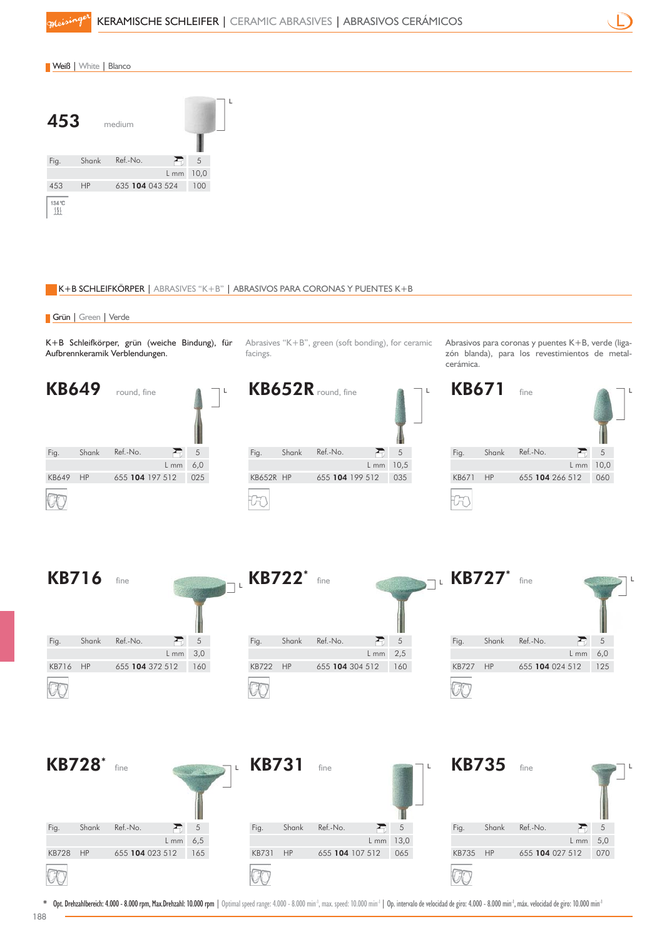

#### K+B SCHLEIFKÖRPER | ABRASIVES "K+B" | ABRASIVOS PARA CORONAS Y PUENTES K+B

#### Grün | Green | Verde

K+B Schleifkörper, grün (weiche Bindung), für Aufbrennkeramik Verblendungen.

Abrasives "K+B", green (soft bonding), for ceramic facings.

Abrasivos para coronas y puentes K+B, verde (ligazón blanda), para los revestimientos de metalcerámica.

KB735 HP 655 104 027 512 070

Fig. Shank Ref.-No.

KB735 HP

5 5,0 L mm

同



Opt. Drehzahlbereich: 4.000 - 8.000 rpm, Max.Drehzahl: 10.000 rpm | Optimal speed range: 4.000 - 8.000 min<sup>-1</sup>, max. speed: 10.000 min<sup>-1</sup> | Op. intervalo de velocidad de giro: 4.000 - 8.000 min<sup>-1</sup>, máx. velocidad de giro

KB731 HP 655 104 107 512 065

Fig. Shank Ref.-No.

KB731 HP

5 13,0 L mm

 $\overline{E}$ 

KB728 HP 655 104 023 512 165

Fig. Shank Ref.-No.

KB728 HP

5 6,5 L mm

弓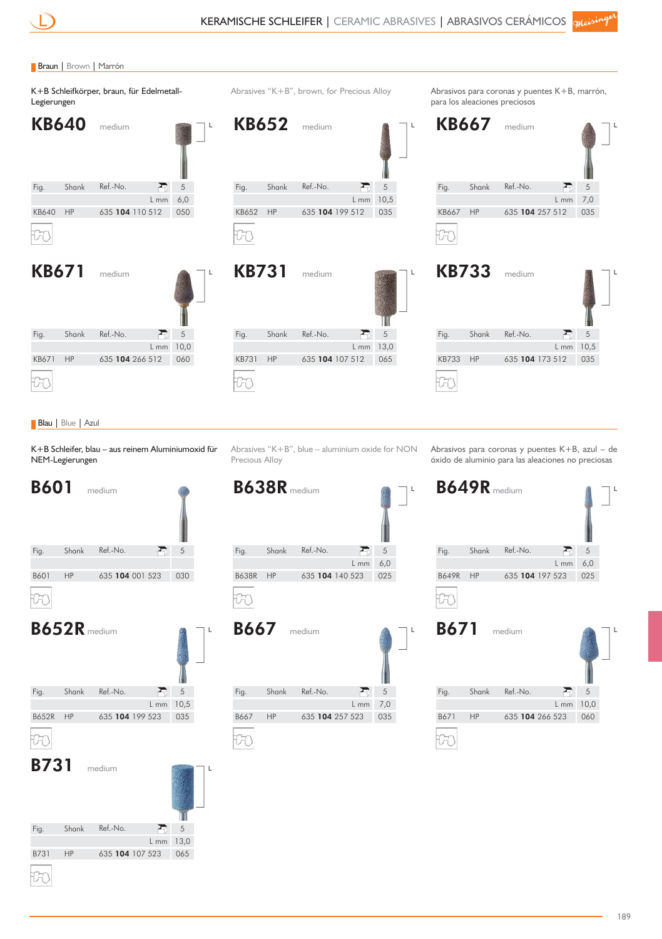#### Braun | Brown | Marrón













#### Blau | Blue | Azul

K+B Schleifer, blau – aus reinem Aluminiumoxid für NEM-Legierungen

**B601** medium Fig. Shank Ref.-No. 5 E HP B601 HP 635 104 001 523 030  $\overline{v}$ B652R medium Fig. Shank Ref.-No.  $\sum_{i=1}^{n}$ 5 10,5 L mm HP B652R HP 635 104 199 523 035 -60 **B731** medium Fig. Shank Ref.-No.  $\mathbf{r}$ 5 13,0 L mm

B731 HP 635 104 107 523 065

HP

H

Abrasives "K+B", blue – aluminium oxide for NON Precious Alloy

**B638R** medium Fig. Shank Ref.-No. 君 5 L mm 6,0 HP B638R HP 635 104 140 523 025



Abrasivos para coronas y puentes K+B, azul – de óxido de aluminio para las aleaciones no preciosas



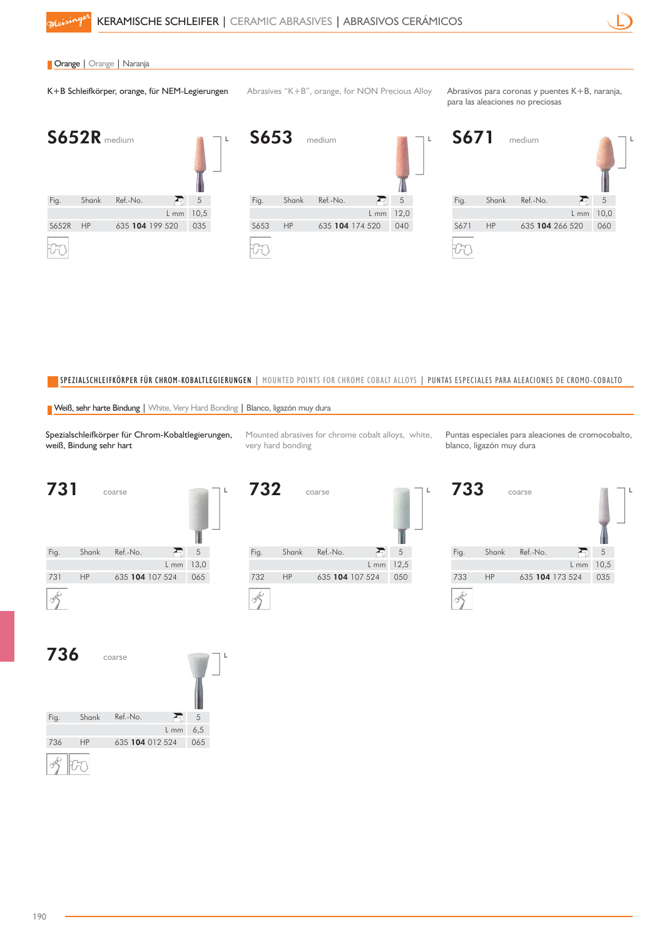

### **| Orange | Orange | Naranja**

K+B Schleifkörper, orange, für NEM-Legierungen Abrasives "K+B", orange, for NON Precious Alloy Abrasivos para coronas y puentes K+B, naranja,

para las aleaciones no preciosas







#### SPEZIALSCHLEIFKÖRPER FÜR CHROM-KOBALTLEGIERUNGEN | MOUNTED POINTS FOR CHROME COBALT ALLOYS | PUNTAS ESPECIALES PARA ALEACIONES DE CROMO-COBALTO

Weiß, sehr harte Bindung | White, Very Hard Bonding | Blanco, ligazón muy dura

Spezialschleifkörper für Chrom-Kobaltlegierungen, weiß, Bindung sehr hart

Mounted abrasives for chrome cobalt alloys, white, very hard bonding

Puntas especiales para aleaciones de cromocobalto, blanco, ligazón muy dura







| 733  |           | coarse          |      |      |  |
|------|-----------|-----------------|------|------|--|
| Fig. | Shank     | Ref.-No.        |      | 5    |  |
|      |           |                 | L mm | 10,5 |  |
| 733  | <b>HP</b> | 635 104 173 524 |      | 035  |  |
|      |           |                 |      |      |  |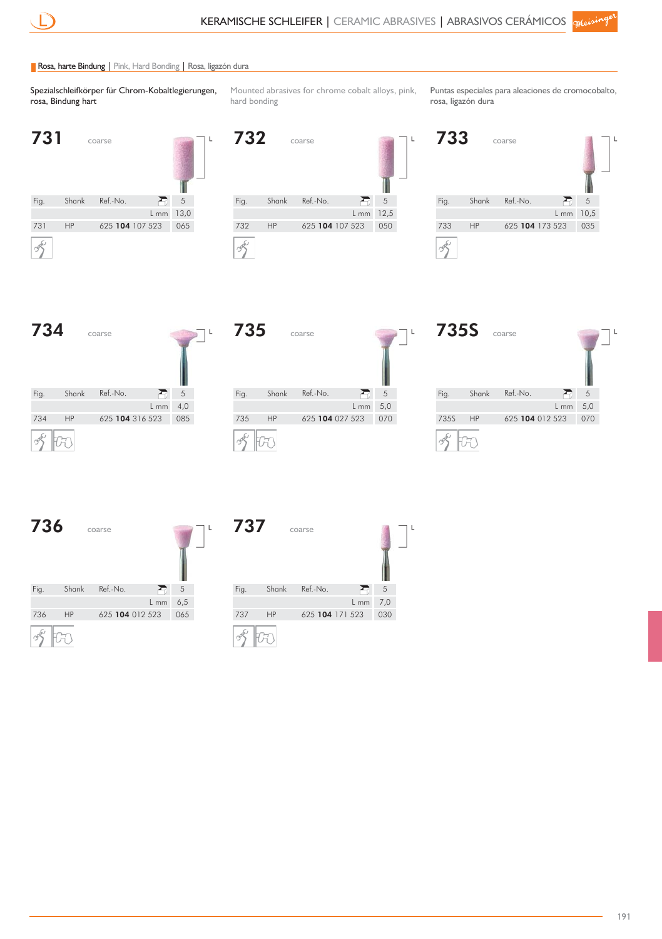#### Rosa, harte Bindung | Pink, Hard Bonding | Rosa, ligazón dura

Spezialschleifkörper für Chrom-Kobaltlegierungen, rosa, Bindung hart

Mounted abrasives for chrome cobalt alloys, pink, hard bonding

Puntas especiales para aleaciones de cromocobalto, rosa, ligazón dura



**732 coarse** Fig. Shank Ref.-No.  $\sum_{i=1}^{n}$ 5 12,5 L mm HP 732 HP 625 **104** 107 523 050  $\frac{1}{2}$ 







| <b>735S</b> |           | coarse          |        |     | L |
|-------------|-----------|-----------------|--------|-----|---|
| Fig.        | Shank     | Ref.-No.        |        | 5   |   |
|             |           |                 | $L$ mm | 5,0 |   |
| 735S        | <b>HP</b> | 625 104 012 523 |        | 070 |   |
|             |           |                 |        |     |   |



| 737  |           | coarse          |      |     | L |
|------|-----------|-----------------|------|-----|---|
| Fig. | Shank     | Ref.-No.        |      | 5   |   |
|      |           |                 | L mm | 7,0 |   |
| 737  | <b>HP</b> | 625 104 171 523 |      | 030 |   |
|      |           |                 |      |     |   |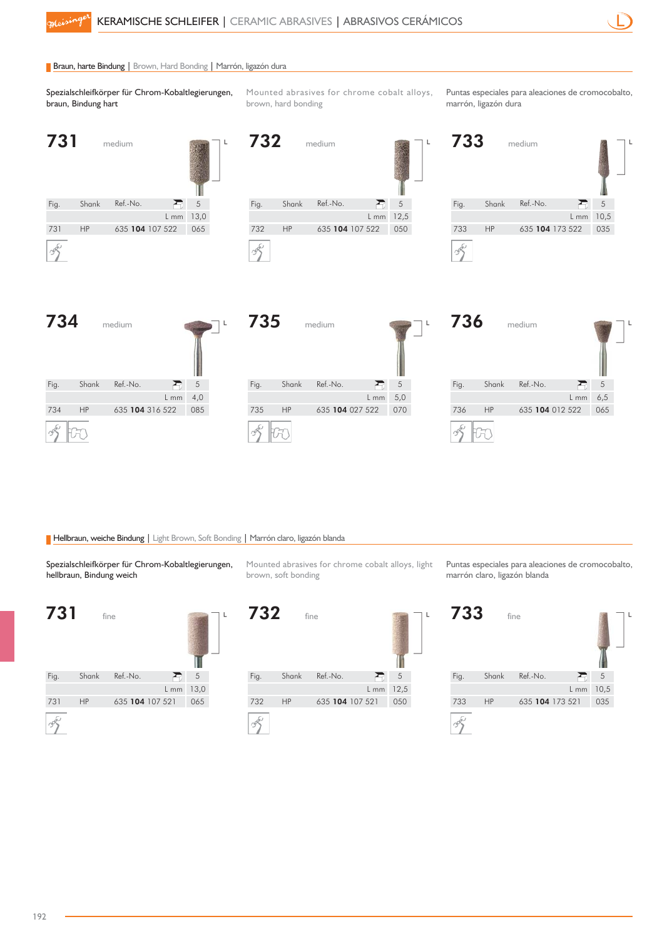732 medium

#### Braun, harte Bindung | Brown, Hard Bonding | Marrón, ligazón dura

Spezialschleifkörper für Chrom-Kobaltlegierungen, braun, Bindung hart

Mounted abrasives for chrome cobalt alloys, brown, hard bonding

 $\mathbf{I}$ 

Puntas especiales para aleaciones de cromocobalto, marrón, ligazón dura

| v i  |           | megium          |      |      |  |
|------|-----------|-----------------|------|------|--|
| Fig. | Shank     | Ref.-No.        |      | 5    |  |
|      |           |                 | L mm | 13,0 |  |
| 731  | <b>HP</b> | 635 104 107 522 |      | 065  |  |
|      |           |                 |      |      |  |

731 medium

|      |           | .               |      |      |  |
|------|-----------|-----------------|------|------|--|
| Fig. | Shank     | Ref.-No.        |      | 5    |  |
|      |           |                 | L mm | 12,5 |  |
| 732  | <b>HP</b> | 635 104 107 522 |      | 050  |  |
|      |           |                 |      |      |  |









#### Hellbraun, weiche Bindung | Light Brown, Soft Bonding | Marrón claro, ligazón blanda

Spezialschleifkörper für Chrom-Kobaltlegierungen, hellbraun, Bindung weich



Mounted abrasives for chrome cobalt alloys, light brown, soft bonding



Puntas especiales para aleaciones de cromocobalto, marrón claro, ligazón blanda

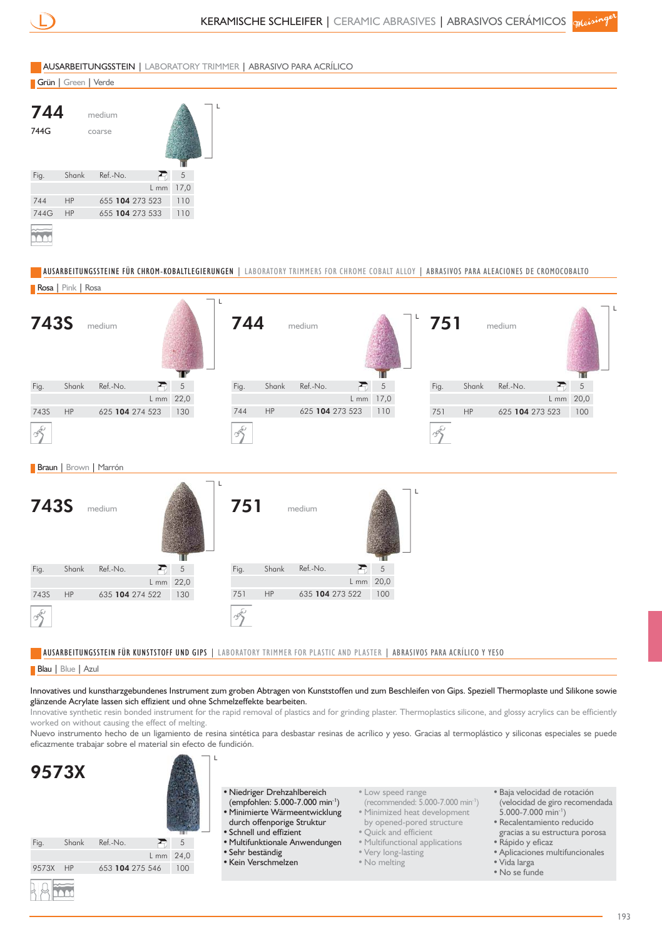



- - Very long-lasting
		- No melting
- Rápido y eficaz
- Aplicaciones multifuncionales
- Vida larga
- No se funde

9573X HP

9573X HP 653 104 275 546 100

24,0 L mm

• Sehr beständig • Kein Verschmelzen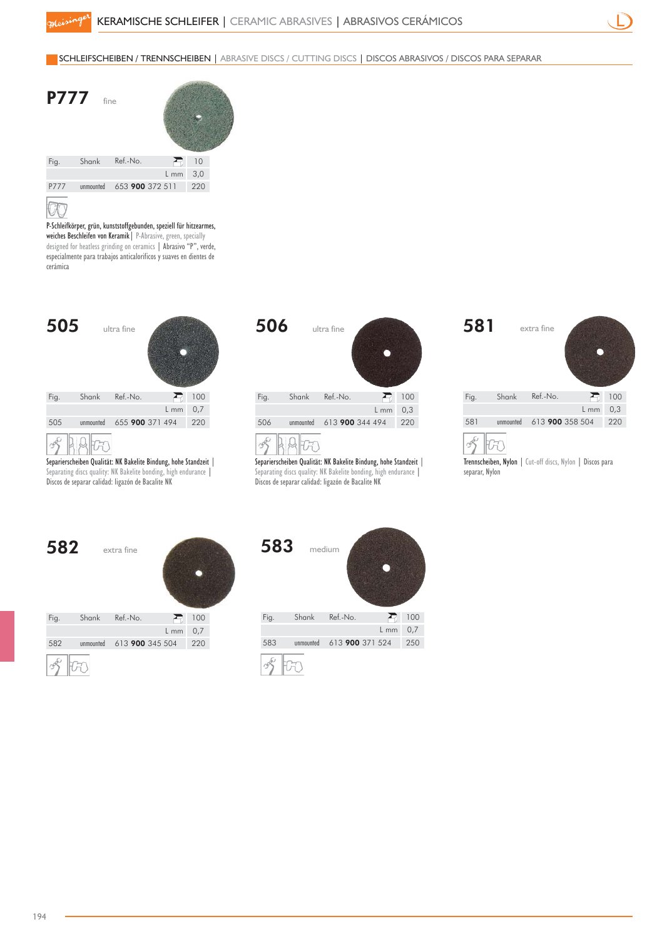#### SCHLEIFSCHEIBEN / TRENNSCHEIBEN | ABRASIVE DISCS / CUTTING DISCS | DISCOS ABRASIVOS / DISCOS PARA SEPARAR



P -Schleifkörper, grün, kunststoffgebunden, speziell für hitzearmes, weiches Beschleifen von Keramik | P-Abrasive, green, specially designed for heatless grinding on ceramics | Abrasivo "P", verde, especialmente para trabajos anticalorificos y suaves en dientes de cerámica



Separierscheiben Qualität: NK Bakelite Bindung, hohe Standzeit | Separating discs quality: NK Bakelite bonding, high endurance | Discos de separar calidad: ligazón de Bacalite NK

| 506  |           | ultra fine      |        |     |
|------|-----------|-----------------|--------|-----|
| Fig. | Shank     | Ref.-No.        |        | 100 |
|      |           |                 | $L$ mm | 0,3 |
| 506  | unmounted | 613 900 344 494 |        | 220 |
|      |           |                 |        |     |

Separierscheiben Qualität: NK Bakelite Bindung, hohe Standzeit | Separating discs quality: NK Bakelite bonding, high endurance | Discos de separar calidad: ligazón de Bacalite NK

| 581  |           | extra fine      |        |     |  |
|------|-----------|-----------------|--------|-----|--|
| Fig. | Shank     | Ref.-No.        | Ð      | 100 |  |
|      |           |                 | $L$ mm | 0,3 |  |
| 581  | unmounted | 613 900 358 504 |        | 220 |  |
|      |           |                 |        |     |  |



Trennscheiben, Nylon | Cut-off discs, Nylon | Discos para separar, Nylon

| 582  |           | extra fine      |      |     |  |
|------|-----------|-----------------|------|-----|--|
| Fig. | Shank     | Ref.-No.        |      | 100 |  |
|      |           |                 | L mm | 0,7 |  |
| 582  | unmounted | 613 900 345 504 |      | 220 |  |
|      |           |                 |      |     |  |

| 583  | medium    |                 |        |     |
|------|-----------|-----------------|--------|-----|
| Fig. | Shank     | Ref.-No.        | ⊷      | 100 |
|      |           |                 | $L$ mm | 0,7 |
| 583  | unmounted | 613 900 371 524 |        | 250 |
|      |           |                 |        |     |